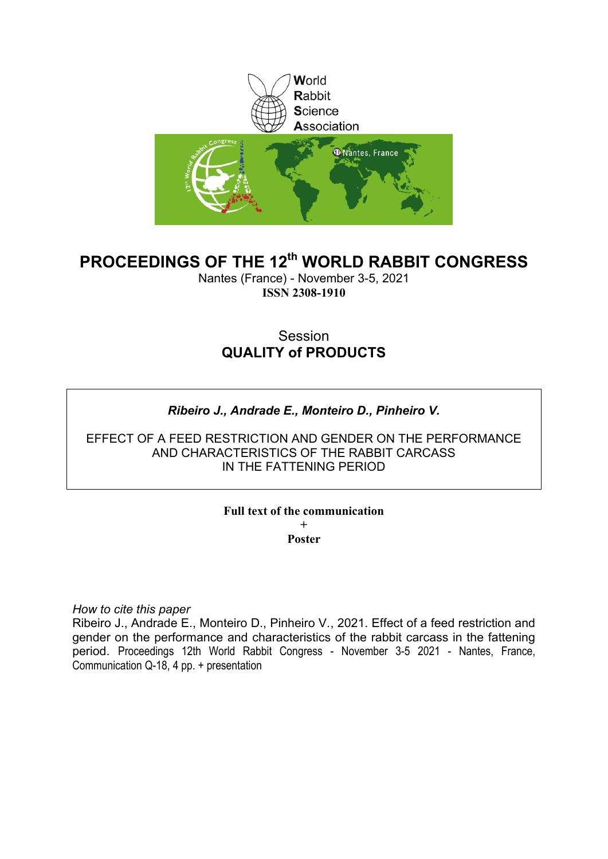

# **PROCEEDINGS OF THE 12th WORLD RABBIT CONGRESS**

Nantes (France) - November 3-5, 2021 **ISSN 2308-1910**

# Session **QUALITY of PRODUCTS**

## *Ribeiro J., Andrade E., Monteiro D., Pinheiro V.*

EFFECT OF A FEED RESTRICTION AND GENDER ON THE PERFORMANCE AND CHARACTERISTICS OF THE RABBIT CARCASS IN THE FATTENING PERIOD

### **Full text of the communication + Poster**

*How to cite this paper*

Ribeiro J., Andrade E., Monteiro D., Pinheiro V., 2021. Effect of a feed restriction and gender on the performance and characteristics of the rabbit carcass in the fattening period. Proceedings 12th World Rabbit Congress - November 3-5 2021 - Nantes, France, Communication Q-18, 4 pp. + presentation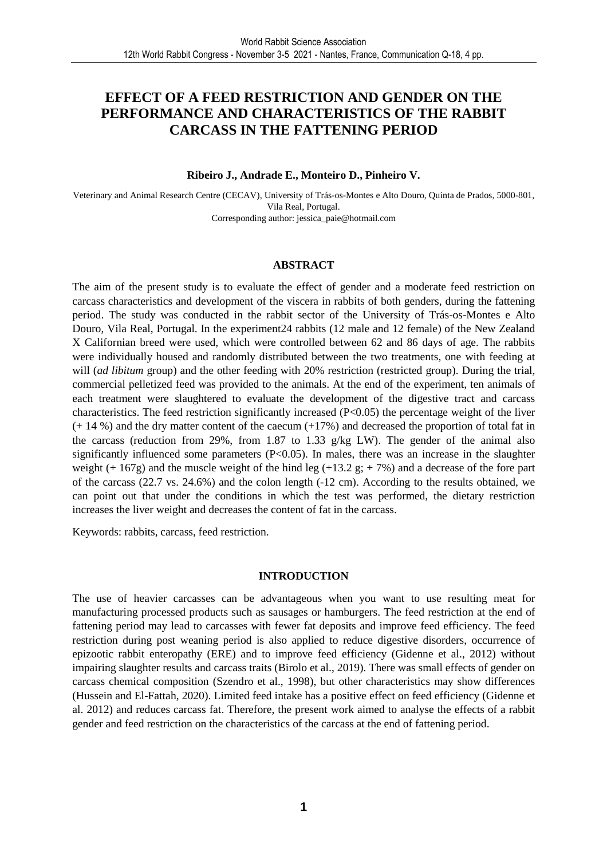## **EFFECT OF A FEED RESTRICTION AND GENDER ON THE PERFORMANCE AND CHARACTERISTICS OF THE RABBIT CARCASS IN THE FATTENING PERIOD**

#### **Ribeiro J., Andrade E., Monteiro D., Pinheiro V.**

Veterinary and Animal Research Centre (CECAV), University of Trás-os-Montes e Alto Douro, Quinta de Prados, 5000-801, Vila Real, Portugal. Corresponding author: jessica\_paie@hotmail.com

#### **ABSTRACT**

The aim of the present study is to evaluate the effect of gender and a moderate feed restriction on carcass characteristics and development of the viscera in rabbits of both genders, during the fattening period. The study was conducted in the rabbit sector of the University of Trás-os-Montes e Alto Douro, Vila Real, Portugal. In the experiment24 rabbits (12 male and 12 female) of the New Zealand X Californian breed were used, which were controlled between 62 and 86 days of age. The rabbits were individually housed and randomly distributed between the two treatments, one with feeding at will *(ad libitum* group) and the other feeding with 20% restriction (restricted group). During the trial, commercial pelletized feed was provided to the animals. At the end of the experiment, ten animals of each treatment were slaughtered to evaluate the development of the digestive tract and carcass characteristics. The feed restriction significantly increased  $(P<0.05)$  the percentage weight of the liver (+ 14 %) and the dry matter content of the caecum (+17%) and decreased the proportion of total fat in the carcass (reduction from 29%, from 1.87 to 1.33 g/kg LW). The gender of the animal also significantly influenced some parameters  $(P<0.05)$ . In males, there was an increase in the slaughter weight (+ 167g) and the muscle weight of the hind leg (+13.2 g; + 7%) and a decrease of the fore part of the carcass (22.7 vs. 24.6%) and the colon length (-12 cm). According to the results obtained, we can point out that under the conditions in which the test was performed, the dietary restriction increases the liver weight and decreases the content of fat in the carcass.

Keywords: rabbits, carcass, feed restriction.

### **INTRODUCTION**

The use of heavier carcasses can be advantageous when you want to use resulting meat for manufacturing processed products such as sausages or hamburgers. The feed restriction at the end of fattening period may lead to carcasses with fewer fat deposits and improve feed efficiency. The feed restriction during post weaning period is also applied to reduce digestive disorders, occurrence of epizootic rabbit enteropathy (ERE) and to improve feed efficiency (Gidenne et al., 2012) without impairing slaughter results and carcass traits (Birolo et al., 2019). There was small effects of gender on carcass chemical composition (Szendro et al., 1998), but other characteristics may show differences (Hussein and El-Fattah, 2020). Limited feed intake has a positive effect on feed efficiency (Gidenne et al. 2012) and reduces carcass fat. Therefore, the present work aimed to analyse the effects of a rabbit gender and feed restriction on the characteristics of the carcass at the end of fattening period.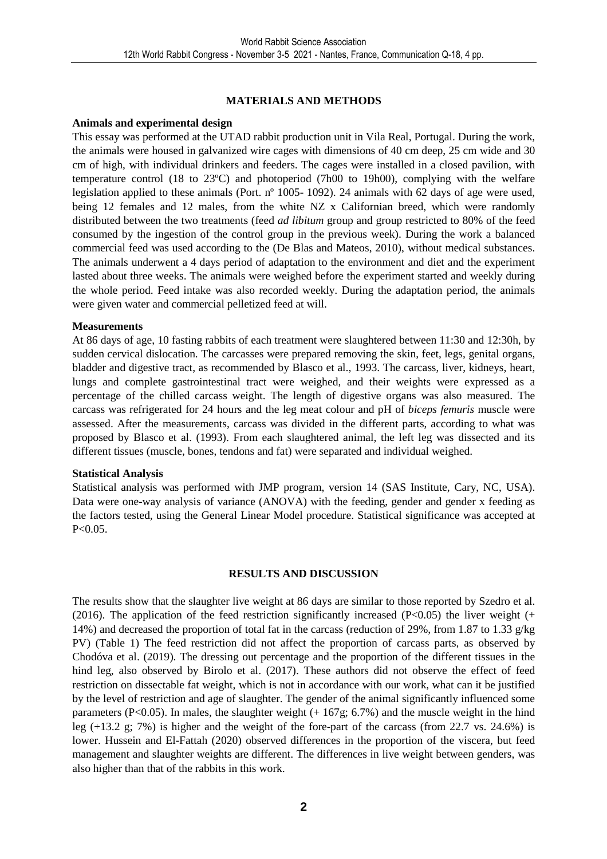### **MATERIALS AND METHODS**

#### **Animals and experimental design**

This essay was performed at the UTAD rabbit production unit in Vila Real, Portugal. During the work, the animals were housed in galvanized wire cages with dimensions of 40 cm deep, 25 cm wide and 30 cm of high, with individual drinkers and feeders. The cages were installed in a closed pavilion, with temperature control (18 to 23ºC) and photoperiod (7h00 to 19h00), complying with the welfare legislation applied to these animals (Port. nº 1005- 1092). 24 animals with 62 days of age were used, being 12 females and 12 males, from the white NZ x Californian breed, which were randomly distributed between the two treatments (feed *ad libitum* group and group restricted to 80% of the feed consumed by the ingestion of the control group in the previous week). During the work a balanced commercial feed was used according to the (De Blas and Mateos, 2010), without medical substances. The animals underwent a 4 days period of adaptation to the environment and diet and the experiment lasted about three weeks. The animals were weighed before the experiment started and weekly during the whole period. Feed intake was also recorded weekly. During the adaptation period, the animals were given water and commercial pelletized feed at will.

#### **Measurements**

At 86 days of age, 10 fasting rabbits of each treatment were slaughtered between 11:30 and 12:30h, by sudden cervical dislocation. The carcasses were prepared removing the skin, feet, legs, genital organs, bladder and digestive tract, as recommended by Blasco et al., 1993. The carcass, liver, kidneys, heart, lungs and complete gastrointestinal tract were weighed, and their weights were expressed as a percentage of the chilled carcass weight. The length of digestive organs was also measured. The carcass was refrigerated for 24 hours and the leg meat colour and pH of *biceps femuris* muscle were assessed. After the measurements, carcass was divided in the different parts, according to what was proposed by Blasco et al. (1993). From each slaughtered animal, the left leg was dissected and its different tissues (muscle, bones, tendons and fat) were separated and individual weighed.

### **Statistical Analysis**

Statistical analysis was performed with JMP program, version 14 (SAS Institute, Cary, NC, USA). Data were one-way analysis of variance (ANOVA) with the feeding, gender and gender x feeding as the factors tested, using the General Linear Model procedure. Statistical significance was accepted at P<0.05.

### **RESULTS AND DISCUSSION**

The results show that the slaughter live weight at 86 days are similar to those reported by Szedro et al. (2016). The application of the feed restriction significantly increased (P $<0.05$ ) the liver weight (+ 14%) and decreased the proportion of total fat in the carcass (reduction of 29%, from 1.87 to 1.33 g/kg PV) (Table 1) The feed restriction did not affect the proportion of carcass parts, as observed by Chodóva et al. (2019). The dressing out percentage and the proportion of the different tissues in the hind leg, also observed by Birolo et al. (2017). These authors did not observe the effect of feed restriction on dissectable fat weight, which is not in accordance with our work, what can it be justified by the level of restriction and age of slaughter. The gender of the animal significantly influenced some parameters (P<0.05). In males, the slaughter weight  $(+ 167g; 6.7%)$  and the muscle weight in the hind leg (+13.2 g; 7%) is higher and the weight of the fore-part of the carcass (from 22.7 vs. 24.6%) is lower. Hussein and El-Fattah (2020) observed differences in the proportion of the viscera, but feed management and slaughter weights are different. The differences in live weight between genders, was also higher than that of the rabbits in this work.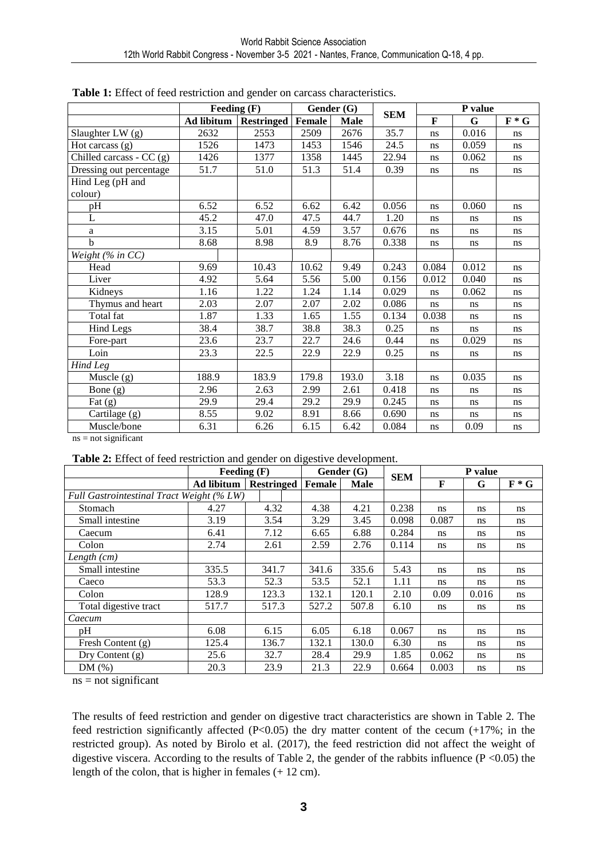|                                  | Feeding (F)       |                   | Gender (G) |             |            | P value     |       |         |
|----------------------------------|-------------------|-------------------|------------|-------------|------------|-------------|-------|---------|
|                                  | <b>Ad libitum</b> | <b>Restringed</b> | Female     | <b>Male</b> | <b>SEM</b> | $\mathbf F$ | G     | $F * G$ |
| Slaughter LW (g)                 | 2632              | 2553              | 2509       | 2676        | 35.7       | ns          | 0.016 | ns      |
| Hot carcass $(g)$                | 1526              | 1473              | 1453       | 1546        | 24.5       | ns          | 0.059 | ns      |
| Chilled carcass - $CC$ (g)       | 1426              | 1377              | 1358       | 1445        | 22.94      | ns          | 0.062 | ns      |
| Dressing out percentage          | 51.7              | 51.0              | 51.3       | 51.4        | 0.39       | ns          | ns    | ns      |
| Hind Leg (pH and<br>colour)      |                   |                   |            |             |            |             |       |         |
| pH                               | 6.52              | 6.52              | 6.62       | 6.42        | 0.056      | ns          | 0.060 | ns      |
| $\mathbf{L}$                     | 45.2              | 47.0              | 47.5       | 44.7        | 1.20       | ns          | ns    | ns      |
| $\rm{a}$                         | 3.15              | $\overline{5.01}$ | 4.59       | 3.57        | 0.676      | ns          | ns    | ns      |
| $\mathbf b$                      | 8.68              | 8.98              | 8.9        | 8.76        | 0.338      | ns          | ns    | ns      |
| Weight $(\%$ in CC)              |                   |                   |            |             |            |             |       |         |
| Head                             | 9.69              | 10.43             | 10.62      | 9.49        | 0.243      | 0.084       | 0.012 | ns      |
| Liver                            | 4.92              | 5.64              | 5.56       | 5.00        | 0.156      | 0.012       | 0.040 | ns      |
| Kidneys                          | 1.16              | 1.22              | 1.24       | 1.14        | 0.029      | ns          | 0.062 | ns      |
| Thymus and heart                 | 2.03              | 2.07              | 2.07       | 2.02        | 0.086      | ns          | ns    | ns      |
| Total fat                        | 1.87              | 1.33              | 1.65       | 1.55        | 0.134      | 0.038       | ns    | ns      |
| <b>Hind Legs</b>                 | 38.4              | 38.7              | 38.8       | 38.3        | 0.25       | ns          | ns    | ns      |
| Fore-part                        | 23.6              | 23.7              | 22.7       | 24.6        | 0.44       | ns          | 0.029 | ns      |
| Loin                             | 23.3              | 22.5              | 22.9       | 22.9        | 0.25       | ns          | ns    | ns      |
| Hind Leg                         |                   |                   |            |             |            |             |       |         |
| Muscle (g)                       | 188.9             | 183.9             | 179.8      | 193.0       | 3.18       | ns          | 0.035 | ns      |
| Bone (g)                         | 2.96              | 2.63              | 2.99       | 2.61        | 0.418      | ns          | ns    | ns      |
| Fat $(g)$                        | 29.9              | 29.4              | 29.2       | 29.9        | 0.245      | ns          | ns    | ns      |
| Cartilage (g)                    | 8.55              | 9.02              | 8.91       | 8.66        | 0.690      | ns          | ns    | ns      |
| Muscle/bone<br>$na = not a'unit$ | 6.31              | 6.26              | 6.15       | 6.42        | 0.084      | ns          | 0.09  | ns      |

| <b>Table 1:</b> Effect of feed restriction and gender on carcass characteristics. |  |
|-----------------------------------------------------------------------------------|--|
|-----------------------------------------------------------------------------------|--|

ns = not significant

**Table 2:** Effect of feed restriction and gender on digestive development.

|                                           | Feeding $(F)$     |                   | Gender (G) |       | <b>SEM</b> | P value       |       |         |
|-------------------------------------------|-------------------|-------------------|------------|-------|------------|---------------|-------|---------|
|                                           | <b>Ad libitum</b> | <b>Restringed</b> | Female     | Male  |            | F             | G     | $F * G$ |
| Full Gastrointestinal Tract Weight (% LW) |                   |                   |            |       |            |               |       |         |
| Stomach                                   | 4.27              | 4.32              | 4.38       | 4.21  | 0.238      | <sub>ns</sub> | ns    | ns      |
| Small intestine                           | 3.19              | 3.54              | 3.29       | 3.45  | 0.098      | 0.087         | ns    | ns      |
| Caecum                                    | 6.41              | 7.12              | 6.65       | 6.88  | 0.284      | <sub>ns</sub> | ns    | ns.     |
| Colon                                     | 2.74              | 2.61              | 2.59       | 2.76  | 0.114      | <sub>ns</sub> | ns    | ns      |
| Length $(cm)$                             |                   |                   |            |       |            |               |       |         |
| Small intestine                           | 335.5             | 341.7             | 341.6      | 335.6 | 5.43       | <sub>ns</sub> | ns    | ns      |
| Caeco                                     | 53.3              | 52.3              | 53.5       | 52.1  | 1.11       | <sub>ns</sub> | ns    | ns      |
| Colon                                     | 128.9             | 123.3             | 132.1      | 120.1 | 2.10       | 0.09          | 0.016 | ns      |
| Total digestive tract                     | 517.7             | 517.3             | 527.2      | 507.8 | 6.10       | <sub>ns</sub> | ns    | ns      |
| Caecum                                    |                   |                   |            |       |            |               |       |         |
| pH                                        | 6.08              | 6.15              | 6.05       | 6.18  | 0.067      | <sub>ns</sub> | ns    | ns      |
| Fresh Content (g)                         | 125.4             | 136.7             | 132.1      | 130.0 | 6.30       | <sub>ns</sub> | ns    | ns.     |
| Dry Content (g)                           | 25.6              | 32.7              | 28.4       | 29.9  | 1.85       | 0.062         | ns    | ns      |
| DM(%)                                     | 20.3              | 23.9              | 21.3       | 22.9  | 0.664      | 0.003         | ns    | ns      |

 $ns = not significant$ 

The results of feed restriction and gender on digestive tract characteristics are shown in Table 2. The feed restriction significantly affected  $(P<0.05)$  the dry matter content of the cecum  $(+17\%)$ ; in the restricted group). As noted by Birolo et al. (2017), the feed restriction did not affect the weight of digestive viscera. According to the results of Table 2, the gender of the rabbits influence ( $P \le 0.05$ ) the length of the colon, that is higher in females (+ 12 cm).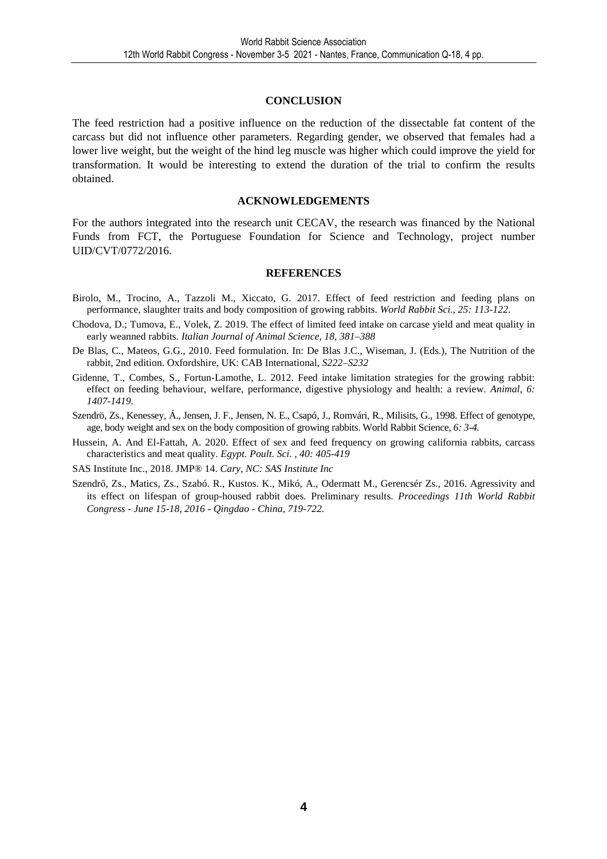#### **CONCLUSION**

The feed restriction had a positive influence on the reduction of the dissectable fat content of the carcass but did not influence other parameters. Regarding gender, we observed that females had a lower live weight, but the weight of the hind leg muscle was higher which could improve the yield for transformation. It would be interesting to extend the duration of the trial to confirm the results obtained.

#### **ACKNOWLEDGEMENTS**

For the authors integrated into the research unit CECAV, the research was financed by the National Funds from FCT, the Portuguese Foundation for Science and Technology, project number UID/CVT/0772/2016.

#### **REFERENCES**

- Birolo, M., Trocino, A., Tazzoli M., Xiccato, G. 2017. Effect of feed restriction and feeding plans on performance, slaughter traits and body composition of growing rabbits. *World Rabbit Sci*., *25: 113-122.*
- Chodova, D.; Tumova, E., Volek, Z. 2019. The effect of limited feed intake on carcase yield and meat quality in early weanned rabbits. *Italian Journal of Animal Science*, *18, 381–388*
- De Blas, C., Mateos, G.G., 2010. Feed formulation. In: De Blas J.C., Wiseman, J. (Eds.), The Nutrition of the rabbit, 2nd edition. Oxfordshire, UK: CAB International, *S222–S232*
- Gidenne, T., Combes, S., Fortun-Lamothe, L. 2012. Feed intake limitation strategies for the growing rabbit: effect on feeding behaviour, welfare, performance, digestive physiology and health: a review. *Animal*, *6: 1407-1419.*
- Szendrö, Zs., Kenessey, Á., Jensen, J. F., Jensen, N. E., Csapó, J., Romvári, R., Milisits, G., 1998. Effect of genotype, age, body weight and sex on the body composition of growing rabbits. World Rabbit Science, *6: 3-4.*
- Hussein, A. And El-Fattah, A. 2020. Effect of sex and feed frequency on growing california rabbits, carcass characteristics and meat quality. *Egypt. Poult. Sci*. , *40: 405-419*

SAS Institute Inc., 2018. JMP® 14. *Cary, NC: SAS Institute Inc* 

Szendrő, Zs., Matics, Zs., Szabó. R., Kustos. K., Mikó, A., Odermatt M., Gerencsér Zs., 2016. Agressivity and its effect on lifespan of group-housed rabbit does. Preliminary results. *Proceedings 11th World Rabbit Congress - June 15-18, 2016 - Qingdao - China, 719-722.*